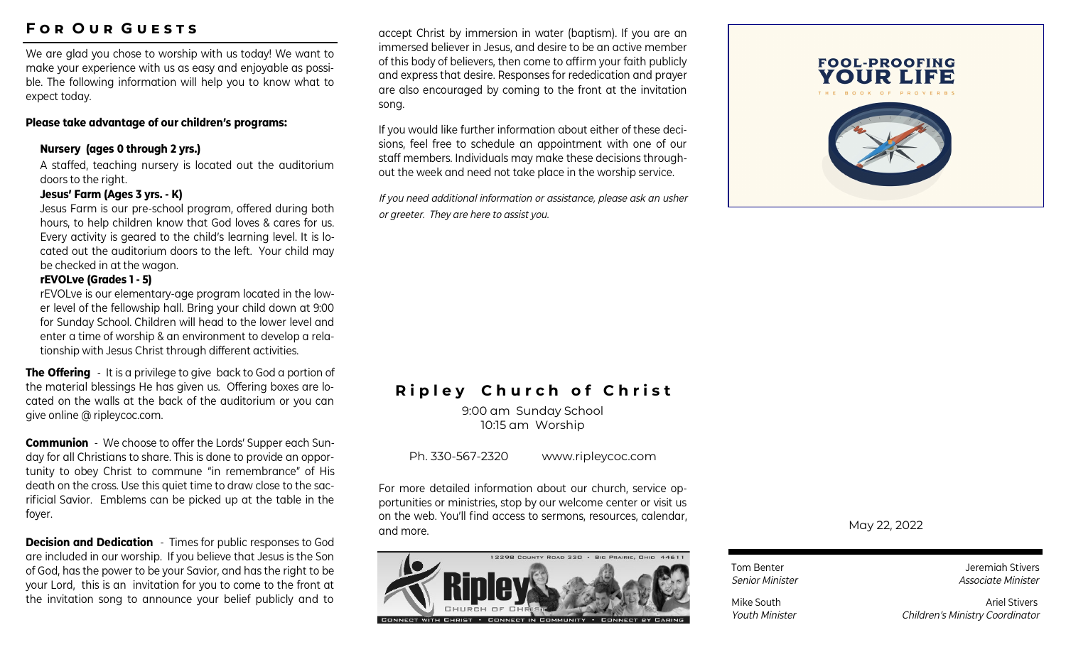# **F o r O u r G u e s t s**

We are glad you chose to worship with us today! We want to make your experience with us as easy and enjoyable as possible. The following information will help you to know what to expect today.

#### **Please take advantage of our children's programs:**

#### **Nursery (ages 0 through 2 yrs.)**

A staffed, teaching nursery is located out the auditorium doors to the right.

#### **Jesus' Farm (Ages 3 yrs. - K)**

Jesus Farm is our pre-school program, offered during both hours, to help children know that God loves & cares for us. Every activity is geared to the child's learning level. It is located out the auditorium doors to the left. Your child may be checked in at the wagon.

#### **rEVOLve (Grades 1 - 5)**

rEVOLve is our elementary-age program located in the lower level of the fellowship hall. Bring your child down at 9:00 for Sunday School. Children will head to the lower level and enter a time of worship & an environment to develop a relationship with Jesus Christ through different activities.

**The Offering** - It is a privilege to give back to God a portion of the material blessings He has given us. Offering boxes are located on the walls at the back of the auditorium or you can give online @ ripleycoc.com.

**Communion** - We choose to offer the Lords' Supper each Sunday for all Christians to share. This is done to provide an opportunity to obey Christ to commune "in remembrance" of His death on the cross. Use this quiet time to draw close to the sacrificial Savior. Emblems can be picked up at the table in the foyer.

**Decision and Dedication** - Times for public responses to God are included in our worship. If you believe that Jesus is the Son of God, has the power to be your Savior, and has the right to be your Lord, this is an invitation for you to come to the front at the invitation song to announce your belief publicly and to

accept Christ by immersion in water (baptism). If you are an immersed believer in Jesus, and desire to be an active member of this body of believers, then come to affirm your faith publicly and express that desire. Responses for rededication and prayer are also encouraged by coming to the front at the invitation song.

If you would like further information about either of these decisions, feel free to schedule an appointment with one of our staff members. Individuals may make these decisions throughout the week and need not take place in the worship service.

*If you need additional information or assistance, please ask an usher or greeter. They are here to assist you.*



# **Ripley Church of Christ**

9:00 am Sunday School 10:15 am Worship

Ph. 330-567-2320 www.ripleycoc.com

For more detailed information about our church, service opportunities or ministries, stop by our welcome center or visit us on the web. You'll find access to sermons, resources, calendar, and more.



May 22, 2022

Tom Benter **Jeremiah Stivers** *Senior Minister Associate Minister* 

Mike South **Ariel Stivers** Ariel Stivers *Youth Minister Children's Ministry Coordinator*